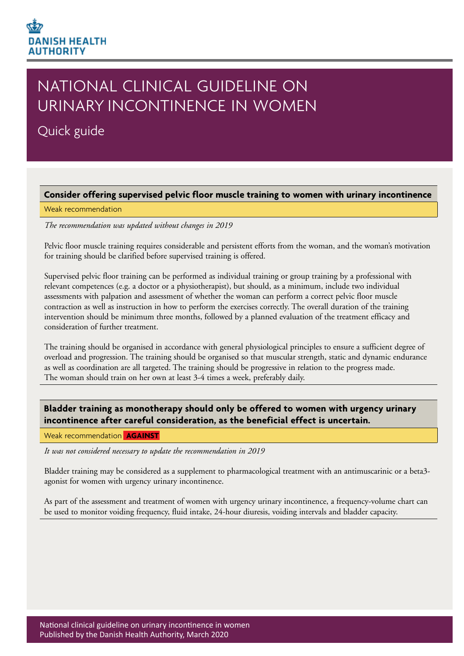# **DANISH HEALTH AUTHORITY**

# NATIONAL CLINICAL GUIDELINE ON URINARY INCONTINENCE IN WOMEN

Quick guide

#### **Consider offering supervised pelvic floor muscle training to women with urinary incontinence**

#### Weak recommendation

*The recommendation was updated without changes in 2019*

Pelvic floor muscle training requires considerable and persistent efforts from the woman, and the woman's motivation for training should be clarified before supervised training is offered.

Supervised pelvic floor training can be performed as individual training or group training by a professional with relevant competences (e.g. a doctor or a physiotherapist), but should, as a minimum, include two individual assessments with palpation and assessment of whether the woman can perform a correct pelvic floor muscle contraction as well as instruction in how to perform the exercises correctly. The overall duration of the training intervention should be minimum three months, followed by a planned evaluation of the treatment efficacy and consideration of further treatment.

The training should be organised in accordance with general physiological principles to ensure a sufficient degree of overload and progression. The training should be organised so that muscular strength, static and dynamic endurance as well as coordination are all targeted. The training should be progressive in relation to the progress made. The woman should train on her own at least 3-4 times a week, preferably daily.

**Bladder training as monotherapy should only be offered to women with urgency urinary incontinence after careful consideration, as the beneficial effect is uncertain.**

Weak recommendation **AGAINST** 

*It was not considered necessary to update the recommendation in 2019*

Bladder training may be considered as a supplement to pharmacological treatment with an antimuscarinic or a beta3 agonist for women with urgency urinary incontinence.

As part of the assessment and treatment of women with urgency urinary incontinence, a frequency-volume chart can be used to monitor voiding frequency, fluid intake, 24-hour diuresis, voiding intervals and bladder capacity.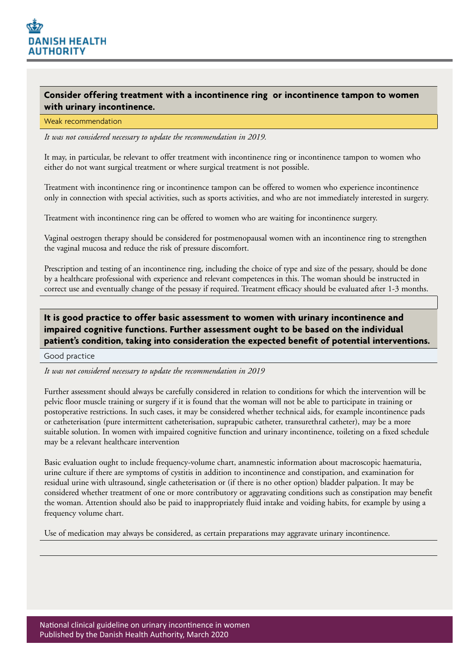

### **Consider offering treatment with a incontinence ring or incontinence tampon to women with urinary incontinence.**

#### Weak recommendation

*It was not considered necessary to update the recommendation in 2019.*

It may, in particular, be relevant to offer treatment with incontinence ring or incontinence tampon to women who either do not want surgical treatment or where surgical treatment is not possible.

Treatment with incontinence ring or incontinence tampon can be offered to women who experience incontinence only in connection with special activities, such as sports activities, and who are not immediately interested in surgery.

Treatment with incontinence ring can be offered to women who are waiting for incontinence surgery.

Vaginal oestrogen therapy should be considered for postmenopausal women with an incontinence ring to strengthen the vaginal mucosa and reduce the risk of pressure discomfort.

Prescription and testing of an incontinence ring, including the choice of type and size of the pessary, should be done by a healthcare professional with experience and relevant competences in this. The woman should be instructed in correct use and eventually change of the pessasy if required. Treatment efficacy should be evaluated after 1-3 months.

# **It is good practice to offer basic assessment to women with urinary incontinence and impaired cognitive functions. Further assessment ought to be based on the individual patient's condition, taking into consideration the expected benefit of potential interventions.**

Good practice

*It was not considered necessary to update the recommendation in 2019*

Further assessment should always be carefully considered in relation to conditions for which the intervention will be pelvic floor muscle training or surgery if it is found that the woman will not be able to participate in training or postoperative restrictions. In such cases, it may be considered whether technical aids, for example incontinence pads or catheterisation (pure intermittent catheterisation, suprapubic catheter, transurethral catheter), may be a more suitable solution. In women with impaired cognitive function and urinary incontinence, toileting on a fixed schedule may be a relevant healthcare intervention

Basic evaluation ought to include frequency-volume chart, anamnestic information about macroscopic haematuria, urine culture if there are symptoms of cystitis in addition to incontinence and constipation, and examination for residual urine with ultrasound, single catheterisation or (if there is no other option) bladder palpation. It may be considered whether treatment of one or more contributory or aggravating conditions such as constipation may benefit the woman. Attention should also be paid to inappropriately fluid intake and voiding habits, for example by using a frequency volume chart.

Use of medication may always be considered, as certain preparations may aggravate urinary incontinence.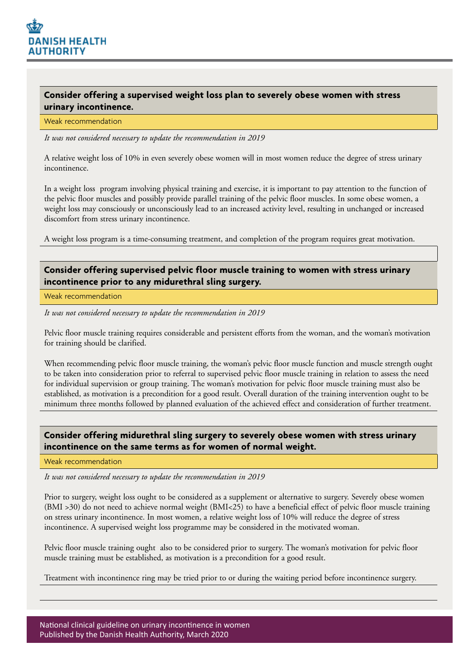

## **Consider offering a supervised weight loss plan to severely obese women with stress urinary incontinence.**

#### Weak recommendation

*It was not considered necessary to update the recommendation in 2019*

A relative weight loss of 10% in even severely obese women will in most women reduce the degree of stress urinary incontinence.

In a weight loss program involving physical training and exercise, it is important to pay attention to the function of the pelvic floor muscles and possibly provide parallel training of the pelvic floor muscles. In some obese women, a weight loss may consciously or unconsciously lead to an increased activity level, resulting in unchanged or increased discomfort from stress urinary incontinence.

A weight loss program is a time-consuming treatment, and completion of the program requires great motivation.

### **Consider offering supervised pelvic floor muscle training to women with stress urinary incontinence prior to any midurethral sling surgery.**

Weak recommendation

*It was not considered necessary to update the recommendation in 2019*

Pelvic floor muscle training requires considerable and persistent efforts from the woman, and the woman's motivation for training should be clarified.

When recommending pelvic floor muscle training, the woman's pelvic floor muscle function and muscle strength ought to be taken into consideration prior to referral to supervised pelvic floor muscle training in relation to assess the need for individual supervision or group training. The woman's motivation for pelvic floor muscle training must also be established, as motivation is a precondition for a good result. Overall duration of the training intervention ought to be minimum three months followed by planned evaluation of the achieved effect and consideration of further treatment.

### **Consider offering midurethral sling surgery to severely obese women with stress urinary incontinence on the same terms as for women of normal weight.**

Weak recommendation

*It was not considered necessary to update the recommendation in 2019*

Prior to surgery, weight loss ought to be considered as a supplement or alternative to surgery. Severely obese women (BMI >30) do not need to achieve normal weight (BMI<25) to have a beneficial effect of pelvic floor muscle training on stress urinary incontinence. In most women, a relative weight loss of 10% will reduce the degree of stress incontinence. A supervised weight loss programme may be considered in the motivated woman.

Pelvic floor muscle training ought also to be considered prior to surgery. The woman's motivation for pelvic floor muscle training must be established, as motivation is a precondition for a good result.

Treatment with incontinence ring may be tried prior to or during the waiting period before incontinence surgery.

National clinical guideline on urinary incontinence in women Published by the Danish Health Authority, March 2020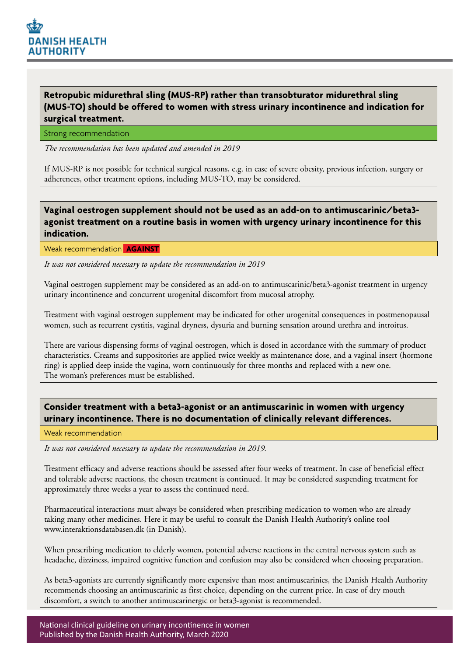

# **Retropubic midurethral sling (MUS-RP) rather than transobturator midurethral sling (MUS-TO) should be offered to women with stress urinary incontinence and indication for surgical treatment.**

Strong recommendation

*The recommendation has been updated and amended in 2019*

If MUS-RP is not possible for technical surgical reasons, e.g. in case of severe obesity, previous infection, surgery or adherences, other treatment options, including MUS-TO, may be considered.

# **Vaginal oestrogen supplement should not be used as an add-on to antimuscarinic/beta3 agonist treatment on a routine basis in women with urgency urinary incontinence for this indication.**

Weak recommendation **AGAINST** 

*It was not considered necessary to update the recommendation in 2019*

Vaginal oestrogen supplement may be considered as an add-on to antimuscarinic/beta3-agonist treatment in urgency urinary incontinence and concurrent urogenital discomfort from mucosal atrophy.

Treatment with vaginal oestrogen supplement may be indicated for other urogenital consequences in postmenopausal women, such as recurrent cystitis, vaginal dryness, dysuria and burning sensation around urethra and introitus.

There are various dispensing forms of vaginal oestrogen, which is dosed in accordance with the summary of product characteristics. Creams and suppositories are applied twice weekly as maintenance dose, and a vaginal insert (hormone ring) is applied deep inside the vagina, worn continuously for three months and replaced with a new one. The woman's preferences must be established.

# **Consider treatment with a beta3-agonist or an antimuscarinic in women with urgency urinary incontinence. There is no documentation of clinically relevant differences.**

#### Weak recommendation

*It was not considered necessary to update the recommendation in 2019.*

Treatment efficacy and adverse reactions should be assessed after four weeks of treatment. In case of beneficial effect and tolerable adverse reactions, the chosen treatment is continued. It may be considered suspending treatment for approximately three weeks a year to assess the continued need.

Pharmaceutical interactions must always be considered when prescribing medication to women who are already taking many other medicines. Here it may be useful to consult the Danish Health Authority's online tool www.interaktionsdatabasen.dk (in Danish).

When prescribing medication to elderly women, potential adverse reactions in the central nervous system such as headache, dizziness, impaired cognitive function and confusion may also be considered when choosing preparation.

As beta3-agonists are currently significantly more expensive than most antimuscarinics, the Danish Health Authority recommends choosing an antimuscarinic as first choice, depending on the current price. In case of dry mouth discomfort, a switch to another antimuscarinergic or beta3-agonist is recommended.